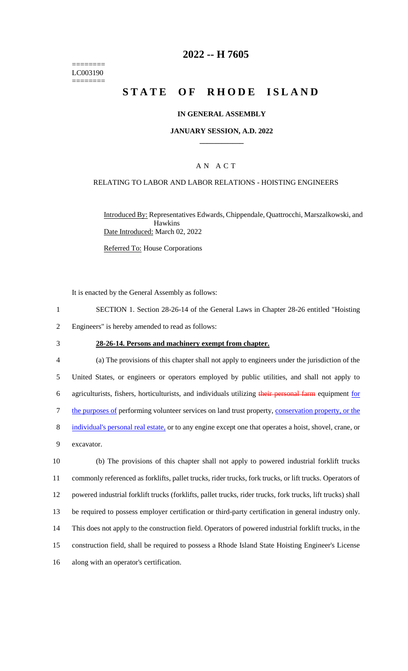======== LC003190 ========

# **2022 -- H 7605**

# **STATE OF RHODE ISLAND**

### **IN GENERAL ASSEMBLY**

### **JANUARY SESSION, A.D. 2022 \_\_\_\_\_\_\_\_\_\_\_\_**

### A N A C T

### RELATING TO LABOR AND LABOR RELATIONS - HOISTING ENGINEERS

Introduced By: Representatives Edwards, Chippendale, Quattrocchi, Marszalkowski, and Hawkins Date Introduced: March 02, 2022

Referred To: House Corporations

It is enacted by the General Assembly as follows:

- 1 SECTION 1. Section 28-26-14 of the General Laws in Chapter 28-26 entitled "Hoisting 2 Engineers" is hereby amended to read as follows:
- 
- 3 **28-26-14. Persons and machinery exempt from chapter.**

 (a) The provisions of this chapter shall not apply to engineers under the jurisdiction of the United States, or engineers or operators employed by public utilities, and shall not apply to 6 agriculturists, fishers, horticulturists, and individuals utilizing their personal farm equipment for the purposes of performing volunteer services on land trust property, conservation property, or the 8 individual's personal real estate, or to any engine except one that operates a hoist, shovel, crane, or excavator.

 (b) The provisions of this chapter shall not apply to powered industrial forklift trucks commonly referenced as forklifts, pallet trucks, rider trucks, fork trucks, or lift trucks. Operators of powered industrial forklift trucks (forklifts, pallet trucks, rider trucks, fork trucks, lift trucks) shall be required to possess employer certification or third-party certification in general industry only. This does not apply to the construction field. Operators of powered industrial forklift trucks, in the construction field, shall be required to possess a Rhode Island State Hoisting Engineer's License along with an operator's certification.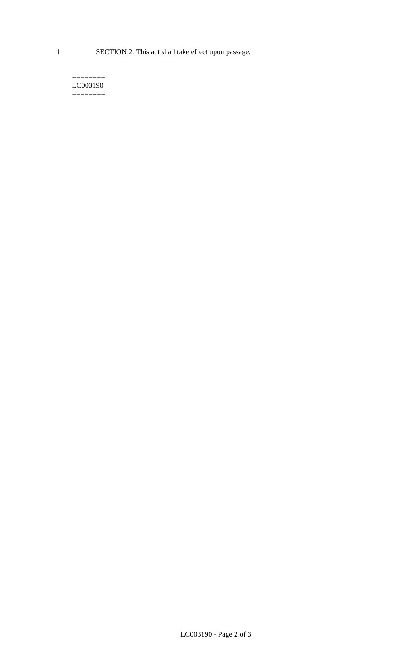1 SECTION 2. This act shall take effect upon passage.

#### $=$ LC003190  $=$